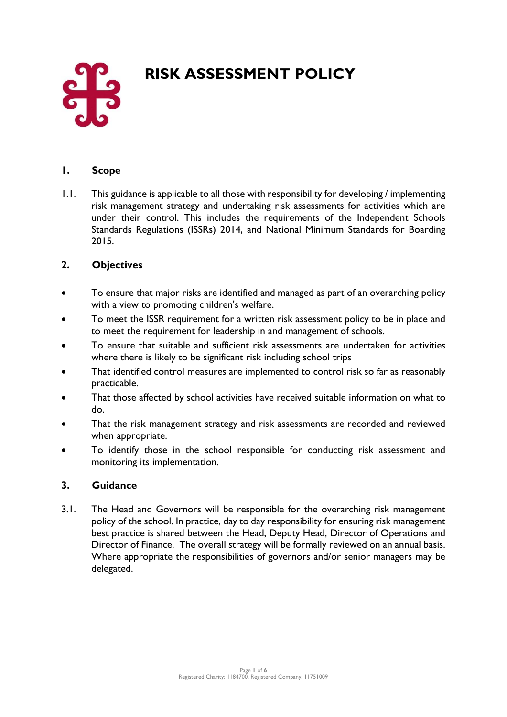# **RISK ASSESSMENT POLICY**



## **1. Scope**

1.1. This guidance is applicable to all those with responsibility for developing / implementing risk management strategy and undertaking risk assessments for activities which are under their control. This includes the requirements of the Independent Schools Standards Regulations (ISSRs) 2014, and National Minimum Standards for Boarding 2015.

## **2. Objectives**

- To ensure that major risks are identified and managed as part of an overarching policy with a view to promoting children's welfare.
- To meet the ISSR requirement for a written risk assessment policy to be in place and to meet the requirement for leadership in and management of schools.
- To ensure that suitable and sufficient risk assessments are undertaken for activities where there is likely to be significant risk including school trips
- That identified control measures are implemented to control risk so far as reasonably practicable.
- That those affected by school activities have received suitable information on what to do.
- That the risk management strategy and risk assessments are recorded and reviewed when appropriate.
- To identify those in the school responsible for conducting risk assessment and monitoring its implementation.

### **3. Guidance**

3.1. The Head and Governors will be responsible for the overarching risk management policy of the school. In practice, day to day responsibility for ensuring risk management best practice is shared between the Head, Deputy Head, Director of Operations and Director of Finance. The overall strategy will be formally reviewed on an annual basis. Where appropriate the responsibilities of governors and/or senior managers may be delegated.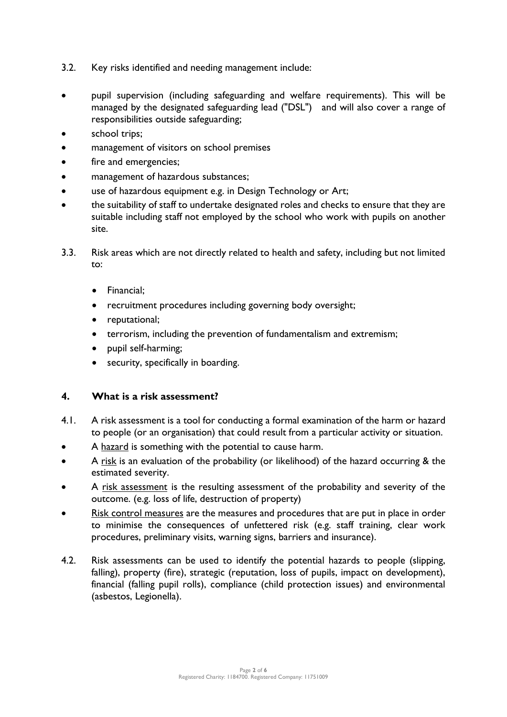- 3.2. Key risks identified and needing management include:
- pupil supervision (including safeguarding and welfare requirements). This will be managed by the designated safeguarding lead ("DSL") and will also cover a range of responsibilities outside safeguarding;
- school trips;
- management of visitors on school premises
- fire and emergencies;
- management of hazardous substances;
- use of hazardous equipment e.g. in Design Technology or Art;
- the suitability of staff to undertake designated roles and checks to ensure that they are suitable including staff not employed by the school who work with pupils on another site.
- 3.3. Risk areas which are not directly related to health and safety, including but not limited to:
	- Financial;
	- recruitment procedures including governing body oversight;
	- reputational;
	- terrorism, including the prevention of fundamentalism and extremism;
	- pupil self-harming;
	- security, specifically in boarding.

#### **4. What is a risk assessment?**

- 4.1. A risk assessment is a tool for conducting a formal examination of the harm or hazard to people (or an organisation) that could result from a particular activity or situation.
- A hazard is something with the potential to cause harm.
- A risk is an evaluation of the probability (or likelihood) of the hazard occurring & the estimated severity.
- A <u>risk assessment</u> is the resulting assessment of the probability and severity of the outcome. (e.g. loss of life, destruction of property)
- Risk control measures are the measures and procedures that are put in place in order to minimise the consequences of unfettered risk (e.g. staff training, clear work procedures, preliminary visits, warning signs, barriers and insurance).
- 4.2. Risk assessments can be used to identify the potential hazards to people (slipping, falling), property (fire), strategic (reputation, loss of pupils, impact on development), financial (falling pupil rolls), compliance (child protection issues) and environmental (asbestos, Legionella).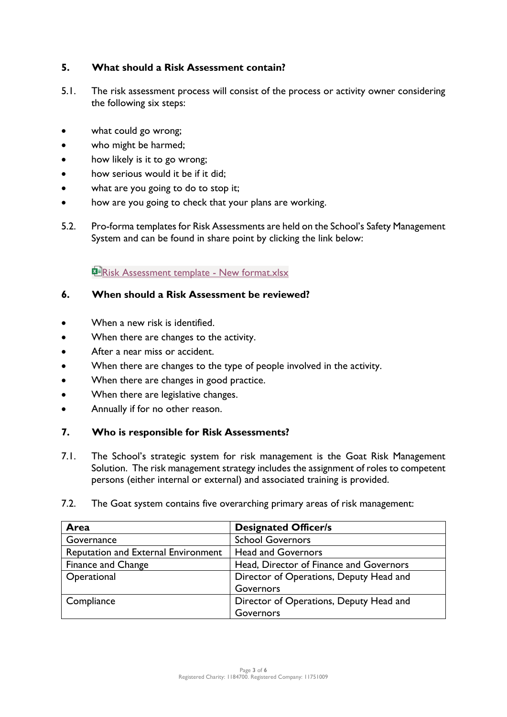## **5. What should a Risk Assessment contain?**

- 5.1. The risk assessment process will consist of the process or activity owner considering the following six steps:
- what could go wrong;
- who might be harmed;
- how likely is it to go wrong;
- how serious would it be if it did;
- what are you going to do to stop it;
- how are you going to check that your plans are working.
- 5.2. Pro-forma templates for Risk Assessments are held on the School's Safety Management System and can be found in share point by clicking the link below:

**PE[Risk Assessment template -](https://downsideschool.sharepoint.com/:x:/s/Information/EQgLCYL_cRhOjaAkQpzXJiEBx8sCMbVyMNM_BfExT3YF1Q?e=4wZrBc) New format.xlsx** 

### **6. When should a Risk Assessment be reviewed?**

- When a new risk is identified.
- When there are changes to the activity.
- After a near miss or accident.
- When there are changes to the type of people involved in the activity.
- When there are changes in good practice.
- When there are legislative changes.
- Annually if for no other reason.

### **7. Who is responsible for Risk Assessments?**

- 7.1. The School's strategic system for risk management is the Goat Risk Management Solution. The risk management strategy includes the assignment of roles to competent persons (either internal or external) and associated training is provided.
- 7.2. The Goat system contains five overarching primary areas of risk management:

| Area                                       | <b>Designated Officer/s</b>             |
|--------------------------------------------|-----------------------------------------|
| Governance                                 | <b>School Governors</b>                 |
| <b>Reputation and External Environment</b> | <b>Head and Governors</b>               |
| <b>Finance and Change</b>                  | Head, Director of Finance and Governors |
| Operational                                | Director of Operations, Deputy Head and |
|                                            | Governors                               |
| Compliance                                 | Director of Operations, Deputy Head and |
|                                            | Governors                               |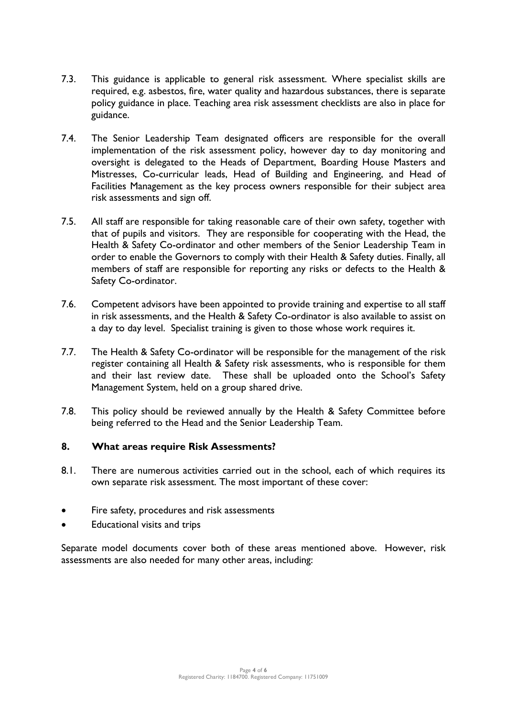- 7.3. This guidance is applicable to general risk assessment. Where specialist skills are required, e.g. asbestos, fire, water quality and hazardous substances, there is separate policy guidance in place. Teaching area risk assessment checklists are also in place for guidance.
- 7.4. The Senior Leadership Team designated officers are responsible for the overall implementation of the risk assessment policy, however day to day monitoring and oversight is delegated to the Heads of Department, Boarding House Masters and Mistresses, Co-curricular leads, Head of Building and Engineering, and Head of Facilities Management as the key process owners responsible for their subject area risk assessments and sign off.
- 7.5. All staff are responsible for taking reasonable care of their own safety, together with that of pupils and visitors. They are responsible for cooperating with the Head, the Health & Safety Co-ordinator and other members of the Senior Leadership Team in order to enable the Governors to comply with their Health & Safety duties. Finally, all members of staff are responsible for reporting any risks or defects to the Health & Safety Co-ordinator.
- 7.6. Competent advisors have been appointed to provide training and expertise to all staff in risk assessments, and the Health & Safety Co-ordinator is also available to assist on a day to day level. Specialist training is given to those whose work requires it.
- 7.7. The Health & Safety Co-ordinator will be responsible for the management of the risk register containing all Health & Safety risk assessments, who is responsible for them and their last review date. These shall be uploaded onto the School's Safety Management System, held on a group shared drive.
- 7.8. This policy should be reviewed annually by the Health & Safety Committee before being referred to the Head and the Senior Leadership Team.

### **8. What areas require Risk Assessments?**

- 8.1. There are numerous activities carried out in the school, each of which requires its own separate risk assessment. The most important of these cover:
- Fire safety, procedures and risk assessments
- Educational visits and trips

Separate model documents cover both of these areas mentioned above. However, risk assessments are also needed for many other areas, including: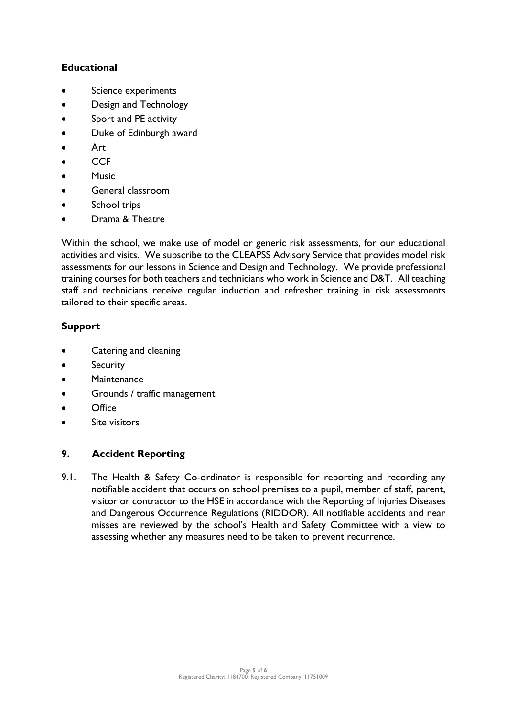## **Educational**

- Science experiments
- Design and Technology
- Sport and PE activity
- Duke of Edinburgh award
- Art
- CCF
- Music
- General classroom
- School trips
- Drama & Theatre

Within the school, we make use of model or generic risk assessments, for our educational activities and visits. We subscribe to the CLEAPSS Advisory Service that provides model risk assessments for our lessons in Science and Design and Technology. We provide professional training courses for both teachers and technicians who work in Science and D&T. All teaching staff and technicians receive regular induction and refresher training in risk assessments tailored to their specific areas.

## **Support**

- Catering and cleaning
- **Security**
- Maintenance
- Grounds / traffic management
- Office
- Site visitors

## **9. Accident Reporting**

9.1. The Health & Safety Co-ordinator is responsible for reporting and recording any notifiable accident that occurs on school premises to a pupil, member of staff, parent, visitor or contractor to the HSE in accordance with the Reporting of Injuries Diseases and Dangerous Occurrence Regulations (RIDDOR). All notifiable accidents and near misses are reviewed by the school's Health and Safety Committee with a view to assessing whether any measures need to be taken to prevent recurrence.